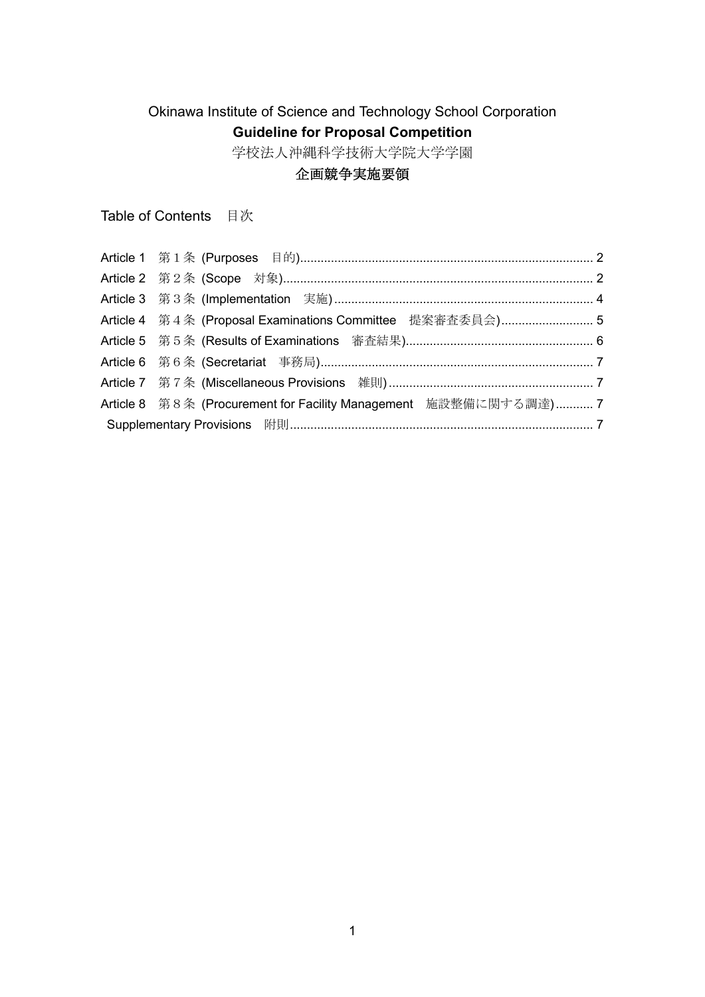# Okinawa Institute of Science and Technology School Corporation **Guideline for Proposal Competition**

学校法人沖縄科学技術大学院大学学園

## 企画競争実施要領

Table of Contents 目次

| Article 4 第4条 (Proposal Examinations Committee 提案審査委員会) 5       |  |
|-----------------------------------------------------------------|--|
|                                                                 |  |
|                                                                 |  |
|                                                                 |  |
| Article 8 第8条 (Procurement for Facility Management 施設整備に関する調達)7 |  |
|                                                                 |  |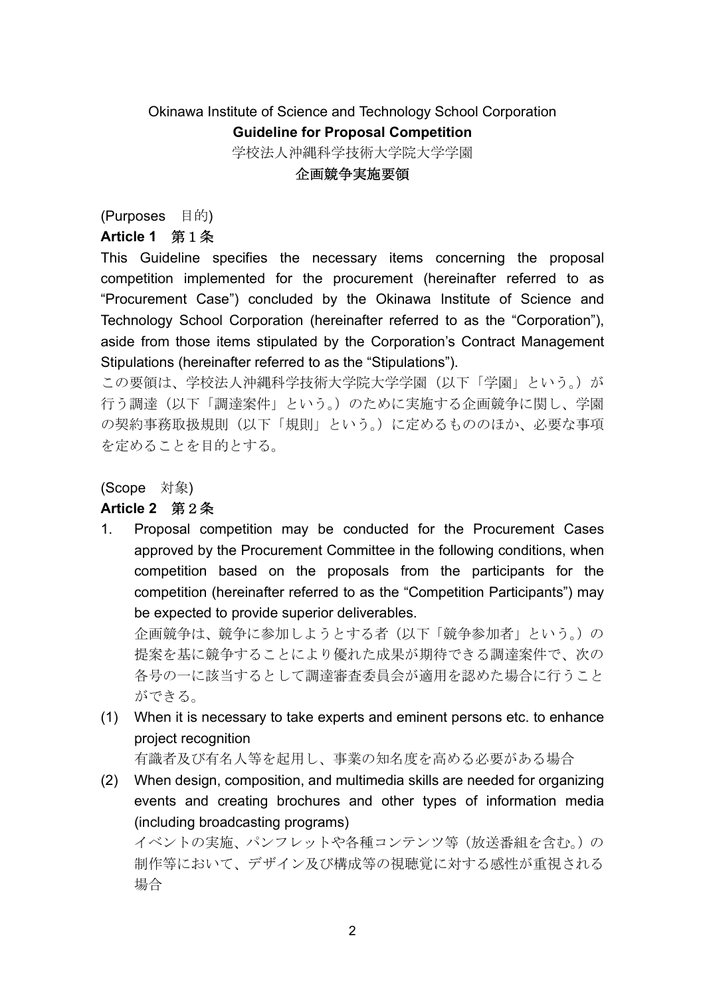## Okinawa Institute of Science and Technology School Corporation **Guideline for Proposal Competition** 学校法人沖縄科学技術大学院大学学園

#### 企画競争実施要領

(Purposes 目的)

#### **Article 1** 第1条

This Guideline specifies the necessary items concerning the proposal competition implemented for the procurement (hereinafter referred to as "Procurement Case") concluded by the Okinawa Institute of Science and Technology School Corporation (hereinafter referred to as the "Corporation"), aside from those items stipulated by the Corporation's Contract Management Stipulations (hereinafter referred to as the "Stipulations").

この要領は、学校法人沖縄科学技術大学院大学学園(以下「学園」という。)が 行う調達(以下「調達案件」という。)のために実施する企画競争に関し、学園 の契約事務取扱規則(以下「規則」という。)に定めるもののほか、必要な事項 を定めることを目的とする。

(Scope 対象)

#### **Article 2** 第2条

1. Proposal competition may be conducted for the Procurement Cases approved by the Procurement Committee in the following conditions, when competition based on the proposals from the participants for the competition (hereinafter referred to as the "Competition Participants") may be expected to provide superior deliverables.

企画競争は、競争に参加しようとする者(以下「競争参加者」という。)の 提案を基に競争することにより優れた成果が期待できる調達案件で、次の 各号の一に該当するとして調達審査委員会が適用を認めた場合に行うこと ができる。

(1) When it is necessary to take experts and eminent persons etc. to enhance project recognition

有識者及び有名人等を起用し、事業の知名度を高める必要がある場合

(2) When design, composition, and multimedia skills are needed for organizing events and creating brochures and other types of information media (including broadcasting programs)

イベントの実施、パンフレットや各種コンテンツ等(放送番組を含む。)の 制作等において、デザイン及び構成等の視聴覚に対する感性が重視される 場合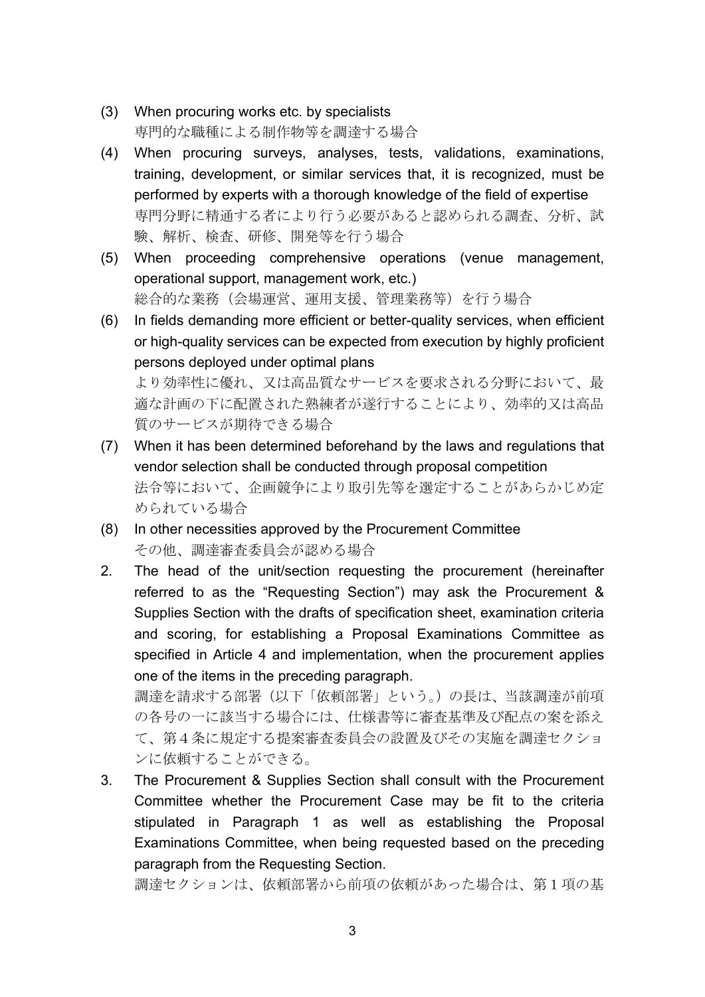- (3) When procuring works etc. by specialists 専門的な職種による制作物等を調達する場合
- (4) When procuring surveys, analyses, tests, validations, examinations, training, development, or similar services that, it is recognized, must be performed by experts with a thorough knowledge of the field of expertise 専門分野に精通する者により行う必要があると認められる調査、分析、試 験、解析、検査、研修、開発等を行う場合
- (5) When proceeding comprehensive operations (venue management, operational support, management work, etc.) 総合的な業務(会場運営、運用支援、管理業務等)を行う場合
- (6) In fields demanding more efficient or better-quality services, when efficient or high-quality services can be expected from execution by highly proficient persons deployed under optimal plans より効率性に優れ、又は高品質なサービスを要求される分野において、最

適な計画の下に配置された熟練者が遂行することにより、効率的又は高品 質のサービスが期待できる場合

- (7) When it has been determined beforehand by the laws and regulations that vendor selection shall be conducted through proposal competition 法令等において、企画競争により取引先等を選定することがあらかじめ定 められている場合
- (8) In other necessities approved by the Procurement Committee その他、調達審査委員会が認める場合
- 2. The head of the unit/section requesting the procurement (hereinafter referred to as the "Requesting Section") may ask the Procurement & Supplies Section with the drafts of specification sheet, examination criteria and scoring, for establishing a Proposal Examinations Committee as specified in Article 4 and implementation, when the procurement applies one of the items in the preceding paragraph.

調達を請求する部署(以下「依頼部署」という。)の長は、当該調達が前項 の各号の一に該当する場合には、仕様書等に審査基準及び配点の案を添え て、第4条に規定する提案審査委員会の設置及びその実施を調達セクショ ンに依頼することができる。

3. The Procurement & Supplies Section shall consult with the Procurement Committee whether the Procurement Case may be fit to the criteria stipulated in Paragraph 1 as well as establishing the Proposal Examinations Committee, when being requested based on the preceding paragraph from the Requesting Section.

調達セクションは、依頼部署から前項の依頼があった場合は、第1項の基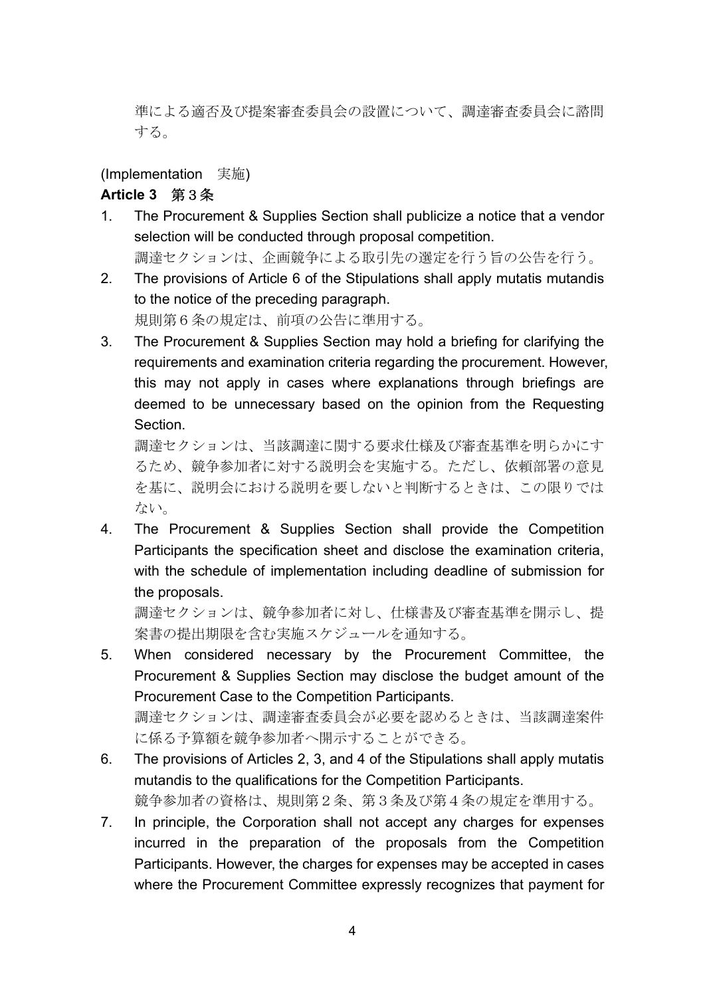準による適否及び提案審査委員会の設置について、調達審査委員会に諮問 する。

(Implementation 実施)

### **Article 3** 第3条

- 1. The Procurement & Supplies Section shall publicize a notice that a vendor selection will be conducted through proposal competition. 調達セクションは、企画競争による取引先の選定を行う旨の公告を行う。
- 2. The provisions of Article 6 of the Stipulations shall apply mutatis mutandis to the notice of the preceding paragraph. 規則第6条の規定は、前項の公告に準用する。
- 3. The Procurement & Supplies Section may hold a briefing for clarifying the requirements and examination criteria regarding the procurement. However, this may not apply in cases where explanations through briefings are deemed to be unnecessary based on the opinion from the Requesting **Section**

調達セクションは、当該調達に関する要求仕様及び審査基準を明らかにす るため、競争参加者に対する説明会を実施する。ただし、依頼部署の意見 を基に、説明会における説明を要しないと判断するときは、この限りでは ない。

4. The Procurement & Supplies Section shall provide the Competition Participants the specification sheet and disclose the examination criteria, with the schedule of implementation including deadline of submission for the proposals.

調達セクションは、競争参加者に対し、仕様書及び審査基準を開示し、提 案書の提出期限を含む実施スケジュールを通知する。

5. When considered necessary by the Procurement Committee, the Procurement & Supplies Section may disclose the budget amount of the Procurement Case to the Competition Participants. 調達セクションは、調達審査委員会が必要を認めるときは、当該調達案件

に係る予算額を競争参加者へ開示することができる。

- 6. The provisions of Articles 2, 3, and 4 of the Stipulations shall apply mutatis mutandis to the qualifications for the Competition Participants. 競争参加者の資格は、規則第2条、第3条及び第4条の規定を準用する。
- 7. In principle, the Corporation shall not accept any charges for expenses incurred in the preparation of the proposals from the Competition Participants. However, the charges for expenses may be accepted in cases where the Procurement Committee expressly recognizes that payment for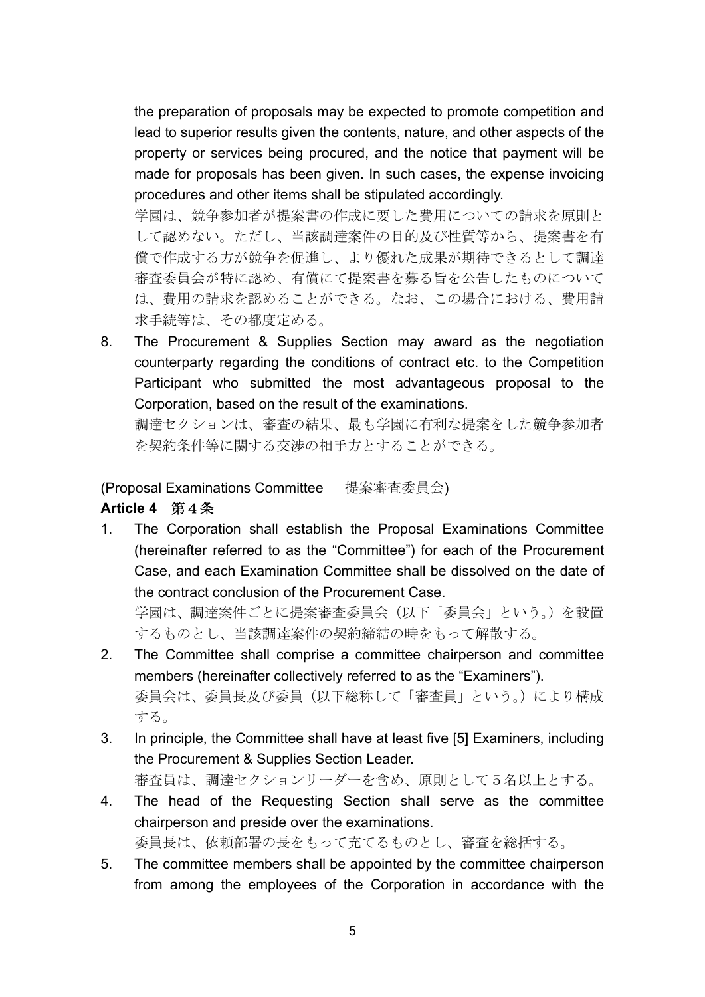the preparation of proposals may be expected to promote competition and lead to superior results given the contents, nature, and other aspects of the property or services being procured, and the notice that payment will be made for proposals has been given. In such cases, the expense invoicing procedures and other items shall be stipulated accordingly.

学園は、競争参加者が提案書の作成に要した費用についての請求を原則と して認めない。ただし、当該調達案件の目的及び性質等から、提案書を有 償で作成する方が競争を促進し、より優れた成果が期待できるとして調達 審査委員会が特に認め、有償にて提案書を募る旨を公告したものについて は、費用の請求を認めることができる。なお、この場合における、費用請 求手続等は、その都度定める。

8. The Procurement & Supplies Section may award as the negotiation counterparty regarding the conditions of contract etc. to the Competition Participant who submitted the most advantageous proposal to the Corporation, based on the result of the examinations.

調達セクションは、審査の結果、最も学園に有利な提案をした競争参加者 を契約条件等に関する交渉の相手方とすることができる。

(Proposal Examinations Committee 提案審査委員会)

#### **Article 4** 第4条

1. The Corporation shall establish the Proposal Examinations Committee (hereinafter referred to as the "Committee") for each of the Procurement Case, and each Examination Committee shall be dissolved on the date of the contract conclusion of the Procurement Case.

学園は、調達案件ごとに提案審査委員会(以下「委員会」という。)を設置 するものとし、当該調達案件の契約締結の時をもって解散する。

- 2. The Committee shall comprise a committee chairperson and committee members (hereinafter collectively referred to as the "Examiners"). 委員会は、委員長及び委員(以下総称して「審査員」という。)により構成 する。
- 3. In principle, the Committee shall have at least five [5] Examiners, including the Procurement & Supplies Section Leader. 審査員は、調達セクションリーダーを含め、原則として5名以上とする。
- 4. The head of the Requesting Section shall serve as the committee chairperson and preside over the examinations. 委員長は、依頼部署の長をもって充てるものとし、審査を総括する。
- 5. The committee members shall be appointed by the committee chairperson from among the employees of the Corporation in accordance with the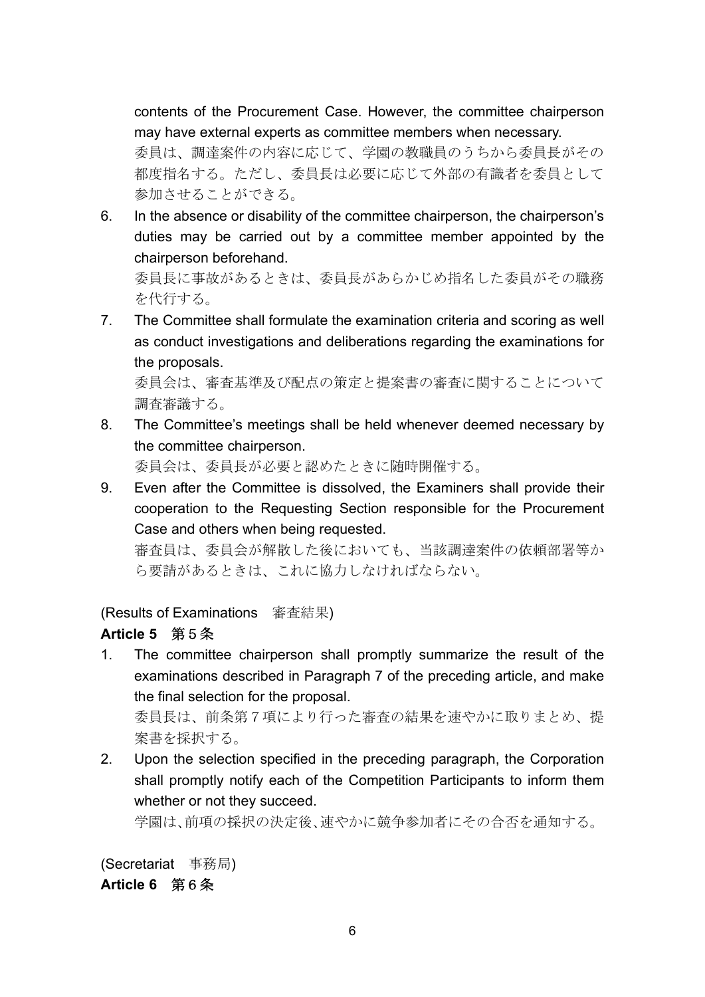contents of the Procurement Case. However, the committee chairperson may have external experts as committee members when necessary.

委員は、調達案件の内容に応じて、学園の教職員のうちから委員長がその 都度指名する。ただし、委員長は必要に応じて外部の有識者を委員として 参加させることができる。

6. In the absence or disability of the committee chairperson, the chairperson's duties may be carried out by a committee member appointed by the chairperson beforehand.

委員長に事故があるときは、委員長があらかじめ指名した委員がその職務 を代行する。

7. The Committee shall formulate the examination criteria and scoring as well as conduct investigations and deliberations regarding the examinations for the proposals.

委員会は、審査基準及び配点の策定と提案書の審査に関することについて 調査審議する。

8. The Committee's meetings shall be held whenever deemed necessary by the committee chairperson.

委員会は、委員長が必要と認めたときに随時開催する。

9. Even after the Committee is dissolved, the Examiners shall provide their cooperation to the Requesting Section responsible for the Procurement Case and others when being requested.

審査員は、委員会が解散した後においても、当該調達案件の依頼部署等か ら要請があるときは、これに協力しなければならない。

(Results of Examinations 審査結果)

## **Article 5** 第5条

1. The committee chairperson shall promptly summarize the result of the examinations described in Paragraph 7 of the preceding article, and make the final selection for the proposal.

委員長は、前条第7項により行った審査の結果を速やかに取りまとめ、提 案書を採択する。

2. Upon the selection specified in the preceding paragraph, the Corporation shall promptly notify each of the Competition Participants to inform them whether or not they succeed.

学園は、前項の採択の決定後、速やかに競争参加者にその合否を通知する。

(Secretariat 事務局) **Article 6** 第6条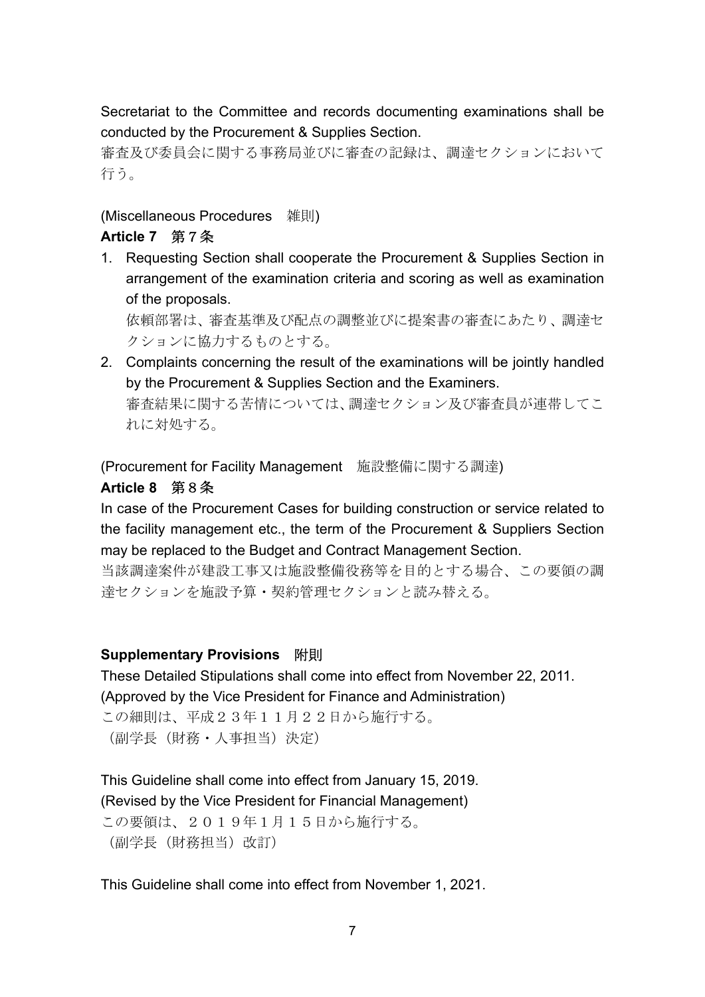Secretariat to the Committee and records documenting examinations shall be conducted by the Procurement & Supplies Section.

審査及び委員会に関する事務局並びに審査の記録は、調達セクションにおいて 行う。

(Miscellaneous Procedures 雑則)

## **Article 7** 第7条

1. Requesting Section shall cooperate the Procurement & Supplies Section in arrangement of the examination criteria and scoring as well as examination of the proposals.

依頼部署は、審査基準及び配点の調整並びに提案書の審査にあたり、調達セ クションに協力するものとする。

2. Complaints concerning the result of the examinations will be jointly handled by the Procurement & Supplies Section and the Examiners. 審査結果に関する苦情については、調達セクション及び審査員が連帯してこ れに対処する。

(Procurement for Facility Management 施設整備に関する調達)

## **Article 8** 第8条

In case of the Procurement Cases for building construction or service related to the facility management etc., the term of the Procurement & Suppliers Section may be replaced to the Budget and Contract Management Section.

当該調達案件が建設工事又は施設整備役務等を目的とする場合、この要領の調 達セクションを施設予算・契約管理セクションと読み替える。

## **Supplementary Provisions** 附則

These Detailed Stipulations shall come into effect from November 22, 2011. (Approved by the Vice President for Finance and Administration)

この細則は、平成23年11月22日から施行する。 (副学長(財務・人事担当)決定)

This Guideline shall come into effect from January 15, 2019. (Revised by the Vice President for Financial Management) この要領は、2019年1月15日から施行する。 (副学長(財務担当)改訂)

This Guideline shall come into effect from November 1, 2021.